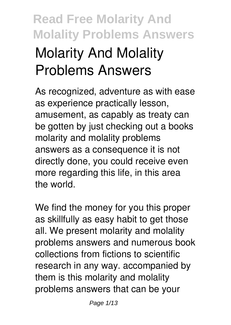# **Read Free Molarity And Molality Problems Answers Molarity And Molality Problems Answers**

As recognized, adventure as with ease as experience practically lesson, amusement, as capably as treaty can be gotten by just checking out a books **molarity and molality problems answers** as a consequence it is not directly done, you could receive even more regarding this life, in this area the world.

We find the money for you this proper as skillfully as easy habit to get those all. We present molarity and molality problems answers and numerous book collections from fictions to scientific research in any way. accompanied by them is this molarity and molality problems answers that can be your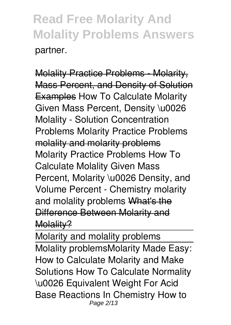Molality Practice Problems - Molarity, Mass Percent, and Density of Solution Examples *How To Calculate Molarity Given Mass Percent, Density \u0026 Molality - Solution Concentration Problems* **Molarity Practice Problems** molality and molarity problems *Molarity Practice Problems How To Calculate Molality Given Mass Percent, Molarity \u0026 Density, and Volume Percent - Chemistry molarity and molality problems* What's the Difference Between Molarity and Molality?

Molarity and molality problems Molality problems**Molarity Made Easy: How to Calculate Molarity and Make Solutions** How To Calculate Normality \u0026 Equivalent Weight For Acid Base Reactions In Chemistry **How to** Page 2/13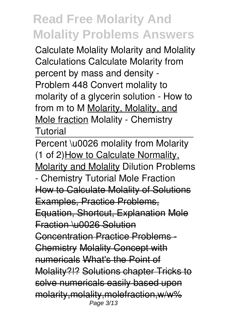**Calculate Molality Molarity and Molality Calculations Calculate Molarity from percent by mass and density - Problem 448** *Convert molality to molarity of a glycerin solution - How to* from m to M Molarity, Molality, and Mole fraction *Molality - Chemistry Tutorial*

Percent \u0026 molality from Molarity (1 of 2)How to Calculate Normality, Molarity and Molality **Dilution Problems - Chemistry Tutorial Mole Fraction** How to Calculate Molality of Solutions Examples, Practice Problems, Equation, Shortcut, Explanation Mole Fraction \u0026 Solution **Concentration Practice Problems** Chemistry Molality Concept with numericals What's the Point of Molality?!? Solutions chapter Tricks to solve numericals easily based upon molarity,molality,molefraction,w/w% Page 3/13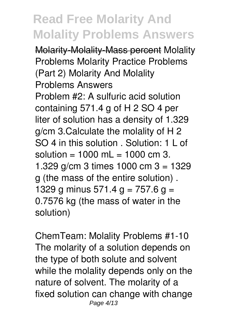Molarity-Molality-Mass percent *Molality Problems* **Molarity Practice Problems (Part 2)** Molarity And Molality Problems Answers

Problem #2: A sulfuric acid solution containing 571.4 g of H 2 SO 4 per liter of solution has a density of 1.329 g/cm 3.Calculate the molality of H 2 SO 4 in this solution . Solution: 1 L of solution =  $1000$  mL =  $1000$  cm 3. 1.329 g/cm 3 times 1000 cm 3 = 1329 g (the mass of the entire solution) . 1329 g minus 571.4 g = 757.6 g = 0.7576 kg (the mass of water in the solution)

ChemTeam: Molality Problems #1-10 The molarity of a solution depends on the type of both solute and solvent while the molality depends only on the nature of solvent. The molarity of a fixed solution can change with change Page 4/13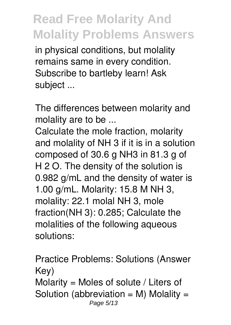in physical conditions, but molality remains same in every condition. Subscribe to bartleby learn! Ask subject ...

The differences between molarity and molality are to be ...

Calculate the mole fraction, molarity and molality of NH 3 if it is in a solution composed of 30.6 g NH3 in 81.3 g of H 2 O. The density of the solution is 0.982 g/mL and the density of water is 1.00 g/mL. Molarity: 15.8 M NH 3, molality: 22.1 molal NH 3, mole fraction(NH 3): 0.285; Calculate the molalities of the following aqueous solutions:

Practice Problems: Solutions (Answer Key) Molarity = Moles of solute / Liters of Solution (abbreviation  $= M$ ) Molality  $=$ Page 5/13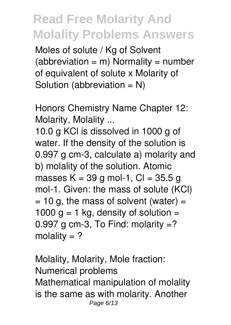Moles of solute / Kg of Solvent  $(abbrevation = m)$  Normality = number of equivalent of solute x Molarity of Solution (abbreviation  $= N$ )

Honors Chemistry Name Chapter 12: Molarity, Molality ...

10.0 g KCl is dissolved in 1000 g of water. If the density of the solution is 0.997 g cm-3, calculate a) molarity and b) molality of the solution. Atomic masses K = 39 g mol-1, Cl = 35.5 g mol-1. Given: the mass of solute (KCl)  $= 10$  g, the mass of solvent (water)  $=$ 1000 g = 1 kg, density of solution = 0.997 g cm-3, To Find: molarity  $=$ ? molality  $= ?$ 

Molality, Molarity, Mole fraction: Numerical problems Mathematical manipulation of molality is the same as with molarity. Another Page 6/13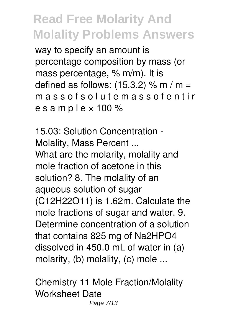way to specify an amount is percentage composition by mass (or mass percentage, % m/m). It is defined as follows:  $(15.3.2)$  % m / m = m a s s o f s o l u t e m a s s o f e n t i r e s a m p  $\,$ e  $\times$  100 %

15.03: Solution Concentration - Molality, Mass Percent ... What are the molarity, molality and mole fraction of acetone in this solution? 8. The molality of an aqueous solution of sugar (C12H22O11) is 1.62m. Calculate the mole fractions of sugar and water. 9. Determine concentration of a solution that contains 825 mg of Na2HPO4 dissolved in 450.0 mL of water in (a) molarity, (b) molality, (c) mole ...

Chemistry 11 Mole Fraction/Molality Worksheet Date Page 7/13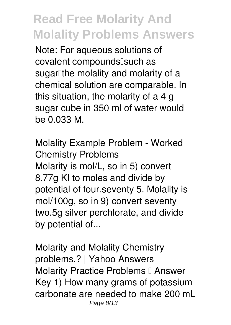Note: For aqueous solutions of covalent compounds[such as sugarlithe molality and molarity of a chemical solution are comparable. In this situation, the molarity of a 4 g sugar cube in 350 ml of water would be 0.033 M.

Molality Example Problem - Worked Chemistry Problems Molarity is mol/L, so in 5) convert 8.77g KI to moles and divide by potential of four.seventy 5. Molality is mol/100g, so in 9) convert seventy two.5g silver perchlorate, and divide by potential of...

Molarity and Molality Chemistry problems.? | Yahoo Answers Molarity Practice Problems II Answer Key 1) How many grams of potassium carbonate are needed to make 200 mL Page 8/13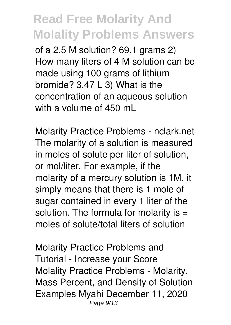of a 2.5 M solution? 69.1 grams 2) How many liters of 4 M solution can be made using 100 grams of lithium bromide? 3.47 L 3) What is the concentration of an aqueous solution with a volume of 450 mL

Molarity Practice Problems - nclark.net The molarity of a solution is measured in moles of solute per liter of solution, or mol/liter. For example, if the molarity of a mercury solution is 1M, it simply means that there is 1 mole of sugar contained in every 1 liter of the solution. The formula for molarity is  $=$ moles of solute/total liters of solution

Molarity Practice Problems and Tutorial - Increase your Score Molality Practice Problems - Molarity, Mass Percent, and Density of Solution Examples Myahi December 11, 2020 Page 9/13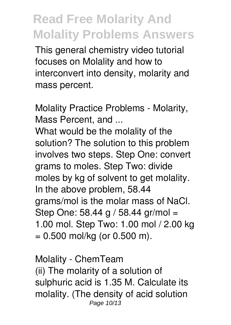This general chemistry video tutorial focuses on Molality and how to interconvert into density, molarity and mass percent.

Molality Practice Problems - Molarity, Mass Percent, and ...

What would be the molality of the solution? The solution to this problem involves two steps. Step One: convert grams to moles. Step Two: divide moles by kg of solvent to get molality. In the above problem, 58.44 grams/mol is the molar mass of NaCl. Step One: 58.44 g / 58.44 gr/mol = 1.00 mol. Step Two: 1.00 mol / 2.00 kg  $= 0.500$  mol/kg (or 0.500 m).

Molality - ChemTeam (ii) The molarity of a solution of sulphuric acid is 1.35 M. Calculate its molality. (The density of acid solution Page 10/13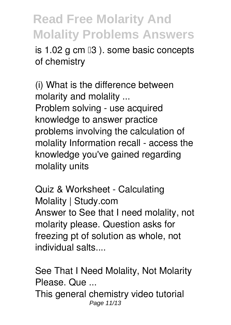is  $1.02$  g cm  $\mathbb{I}3$  ). some basic concepts of chemistry

(i) What is the difference between molarity and molality ... Problem solving - use acquired knowledge to answer practice problems involving the calculation of molality Information recall - access the knowledge you've gained regarding molality units

Quiz & Worksheet - Calculating Molality | Study.com Answer to See that I need molality, not molarity please. Question asks for freezing pt of solution as whole, not individual salts....

See That I Need Molality, Not Molarity Please. Que ... This general chemistry video tutorial Page 11/13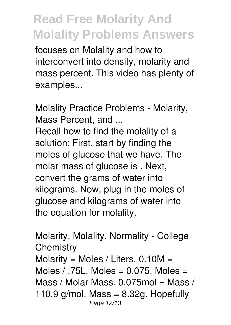focuses on Molality and how to interconvert into density, molarity and mass percent. This video has plenty of examples...

Molality Practice Problems - Molarity, Mass Percent, and ...

Recall how to find the molality of a solution: First, start by finding the moles of glucose that we have. The molar mass of glucose is . Next, convert the grams of water into kilograms. Now, plug in the moles of glucose and kilograms of water into the equation for molality.

Molarity, Molality, Normality - College **Chemistry** Molarity = Moles / Liters.  $0.10M =$ Moles  $/$  .75L. Moles = 0.075. Moles = Mass / Molar Mass. 0.075mol = Mass / 110.9  $q/mol$ . Mass = 8.32g. Hopefully Page 12/13